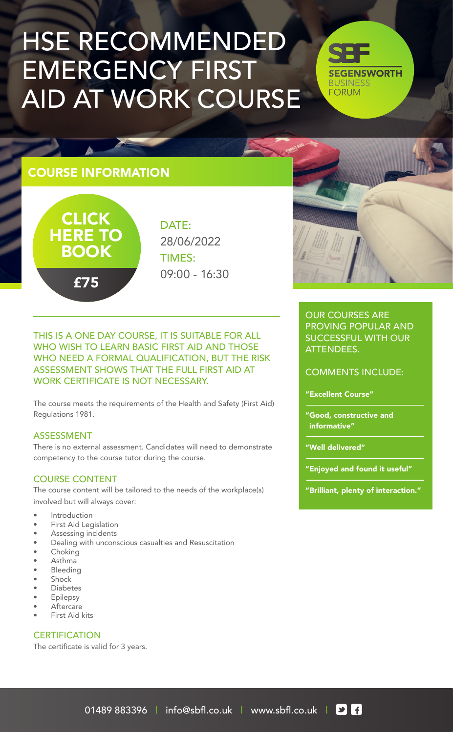# HSE RECOMMENDED EMERGENCY FIRST AID AT WORK COURSE

**SEGENSWORTH BUSINESS FORUM** 

## COURSE INFORMATION



DATE: 28/06/2022 TIMES: 09:00 - 16:30

THIS IS A ONE DAY COURSE, IT IS SUITABLE FOR ALL WHO WISH TO LEARN BASIC FIRST AID AND THOSE WHO NEED A FORMAL QUALIFICATION, BUT THE RISK ASSESSMENT SHOWS THAT THE FULL FIRST AID AT WORK CERTIFICATE IS NOT NECESSARY.

The course meets the requirements of the Health and Safety (First Aid) Regulations 1981.

#### ASSESSMENT

There is no external assessment. Candidates will need to demonstrate competency to the course tutor during the course.

#### COURSE CONTENT

The course content will be tailored to the needs of the workplace(s) involved but will always cover:

- **Introduction**
- First Aid Legislation
- Assessing incidents
- Dealing with unconscious casualties and Resuscitation
- **Choking**
- Asthma
- **Bleeding**
- **Shock**
- **Diabetes**
- **Epilepsy Aftercare**
- First Aid kits

#### **CERTIFICATION**

The certificate is valid for 3 years.

#### OUR COURSES ARE PROVING POPULAR AND SUCCESSFUL WITH OUR ATTENDEES.

COMMENTS INCLUDE:

"Excellent Course"

"Good, constructive and informative"

"Well delivered"

"Enjoyed and found it useful"

"Brilliant, plenty of interaction."